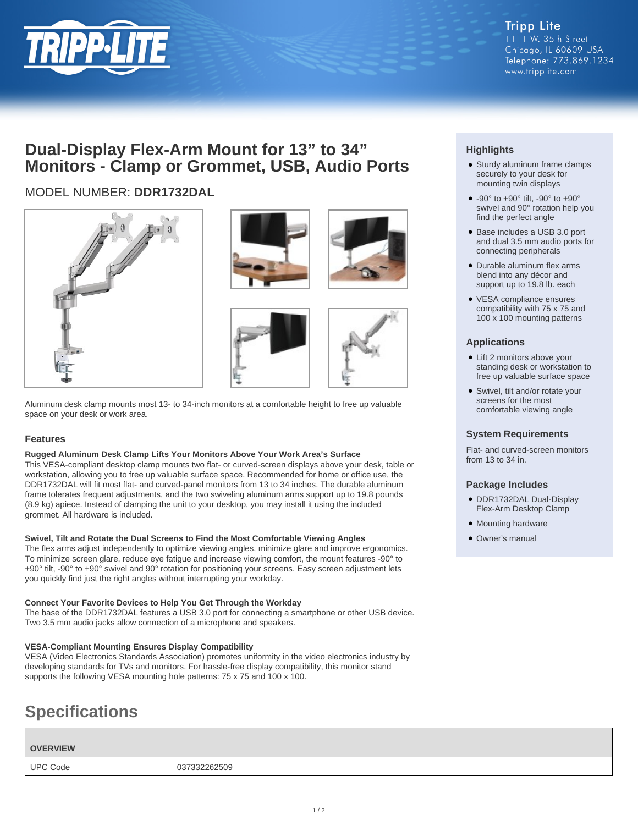

### **Dual-Display Flex-Arm Mount for 13" to 34" Monitors - Clamp or Grommet, USB, Audio Ports**

### MODEL NUMBER: **DDR1732DAL**







Aluminum desk clamp mounts most 13- to 34-inch monitors at a comfortable height to free up valuable space on your desk or work area.

### **Features**

### **Rugged Aluminum Desk Clamp Lifts Your Monitors Above Your Work Area's Surface**

This VESA-compliant desktop clamp mounts two flat- or curved-screen displays above your desk, table or workstation, allowing you to free up valuable surface space. Recommended for home or office use, the DDR1732DAL will fit most flat- and curved-panel monitors from 13 to 34 inches. The durable aluminum frame tolerates frequent adjustments, and the two swiveling aluminum arms support up to 19.8 pounds (8.9 kg) apiece. Instead of clamping the unit to your desktop, you may install it using the included grommet. All hardware is included.

### **Swivel, Tilt and Rotate the Dual Screens to Find the Most Comfortable Viewing Angles**

The flex arms adjust independently to optimize viewing angles, minimize glare and improve ergonomics. To minimize screen glare, reduce eye fatigue and increase viewing comfort, the mount features -90° to +90° tilt, -90° to +90° swivel and 90° rotation for positioning your screens. Easy screen adjustment lets you quickly find just the right angles without interrupting your workday.

### **Connect Your Favorite Devices to Help You Get Through the Workday**

The base of the DDR1732DAL features a USB 3.0 port for connecting a smartphone or other USB device. Two 3.5 mm audio jacks allow connection of a microphone and speakers.

### **VESA-Compliant Mounting Ensures Display Compatibility**

VESA (Video Electronics Standards Association) promotes uniformity in the video electronics industry by developing standards for TVs and monitors. For hassle-free display compatibility, this monitor stand supports the following VESA mounting hole patterns: 75 x 75 and 100 x 100.

## **Specifications**

# **OVERVIEW** UPC Code 037332262509

### **Highlights**

- Sturdy aluminum frame clamps securely to your desk for mounting twin displays
- $\bullet$  -90° to +90° tilt, -90° to +90° swivel and 90° rotation help you find the perfect angle
- Base includes a USB 3.0 port and dual 3.5 mm audio ports for connecting peripherals
- Durable aluminum flex arms blend into any décor and support up to 19.8 lb. each
- VESA compliance ensures compatibility with 75 x 75 and 100 x 100 mounting patterns

### **Applications**

- Lift 2 monitors above your standing desk or workstation to free up valuable surface space
- Swivel, tilt and/or rotate your screens for the most comfortable viewing angle

### **System Requirements**

Flat- and curved-screen monitors from 13 to 34 in.

### **Package Includes**

- DDR1732DAL Dual-Display Flex-Arm Desktop Clamp
- Mounting hardware
- Owner's manual